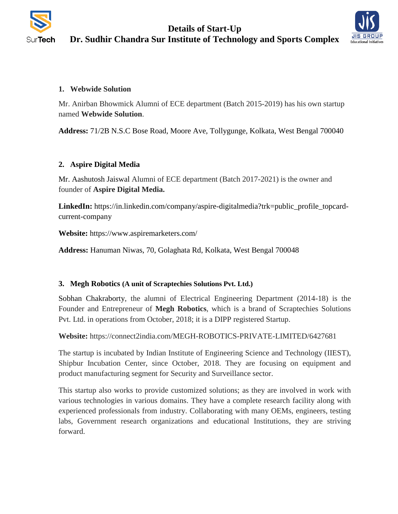

# **Details of Start-Up Dr. Sudhir Chandra Sur Institute of Technology and Sports Complex**



## **1. Webwide Solution**

Mr. Anirban Bhowmick Alumni of ECE department (Batch 2015-2019) has his own startup named **Webwide Solution**.

**Address:** 71/2B N.S.C Bose Road, Moore Ave, Tollygunge, Kolkata, West Bengal 700040

# **2. Aspire Digital Media**

Mr. Aashutosh Jaiswal Alumni of ECE department (Batch 2017-2021) is the owner and founder of **Aspire Digital Media.**

**LinkedIn:** https://in.linkedin.com/company/aspire-digitalmedia?trk=public\_profile\_topcardcurrent-company

**Website:** <https://www.aspiremarketers.com/>

**Address:** Hanuman Niwas, 70, Golaghata Rd, Kolkata, West Bengal 700048

### **3. Megh Robotics (A unit of Scraptechies Solutions Pvt. Ltd.)**

Sobhan Chakraborty, the alumni of Electrical Engineering Department (2014-18) is the Founder and Entrepreneur of **Megh Robotics**, which is a brand of Scraptechies Solutions Pvt. Ltd. in operations from October, 2018; it is a DIPP registered Startup.

**Website:** https://connect2india.com/MEGH-ROBOTICS-PRIVATE-LIMITED/6427681

The startup is incubated by Indian Institute of Engineering Science and Technology (IIEST), Shipbur Incubation Center, since October, 2018. They are focusing on equipment and product manufacturing segment for Security and Surveillance sector.

This startup also works to provide customized solutions; as they are involved in work with various technologies in various domains. They have a complete research facility along with experienced professionals from industry. Collaborating with many OEMs, engineers, testing labs, Government research organizations and educational Institutions, they are striving forward.